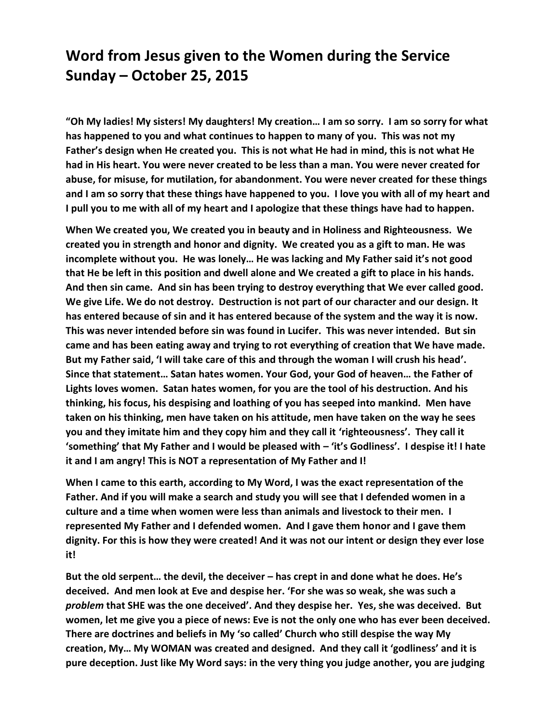## **Word from Jesus given to the Women during the Service Sunday – October 25, 2015**

**"Oh My ladies! My sisters! My daughters! My creation… I am so sorry. I am so sorry for what has happened to you and what continues to happen to many of you. This was not my Father's design when He created you. This is not what He had in mind, this is not what He had in His heart. You were never created to be less than a man. You were never created for abuse, for misuse, for mutilation, for abandonment. You were never created for these things and I am so sorry that these things have happened to you. I love you with all of my heart and I pull you to me with all of my heart and I apologize that these things have had to happen.**

**When We created you, We created you in beauty and in Holiness and Righteousness. We created you in strength and honor and dignity. We created you as a gift to man. He was incomplete without you. He was lonely… He was lacking and My Father said it's not good that He be left in this position and dwell alone and We created a gift to place in his hands. And then sin came. And sin has been trying to destroy everything that We ever called good. We give Life. We do not destroy. Destruction is not part of our character and our design. It has entered because of sin and it has entered because of the system and the way it is now. This was never intended before sin was found in Lucifer. This was never intended. But sin came and has been eating away and trying to rot everything of creation that We have made. But my Father said, 'I will take care of this and through the woman I will crush his head'. Since that statement… Satan hates women. Your God, your God of heaven… the Father of Lights loves women. Satan hates women, for you are the tool of his destruction. And his thinking, his focus, his despising and loathing of you has seeped into mankind. Men have taken on his thinking, men have taken on his attitude, men have taken on the way he sees you and they imitate him and they copy him and they call it 'righteousness'. They call it 'something' that My Father and I would be pleased with – 'it's Godliness'. I despise it! I hate it and I am angry! This is NOT a representation of My Father and I!** 

**When I came to this earth, according to My Word, I was the exact representation of the Father. And if you will make a search and study you will see that I defended women in a culture and a time when women were less than animals and livestock to their men. I represented My Father and I defended women. And I gave them honor and I gave them dignity. For this is how they were created! And it was not our intent or design they ever lose it!** 

**But the old serpent… the devil, the deceiver – has crept in and done what he does. He's deceived. And men look at Eve and despise her. 'For she was so weak, she was such a**  *problem* **that SHE was the one deceived'. And they despise her. Yes, she was deceived. But women, let me give you a piece of news: Eve is not the only one who has ever been deceived. There are doctrines and beliefs in My 'so called' Church who still despise the way My creation, My… My WOMAN was created and designed. And they call it 'godliness' and it is pure deception. Just like My Word says: in the very thing you judge another, you are judging**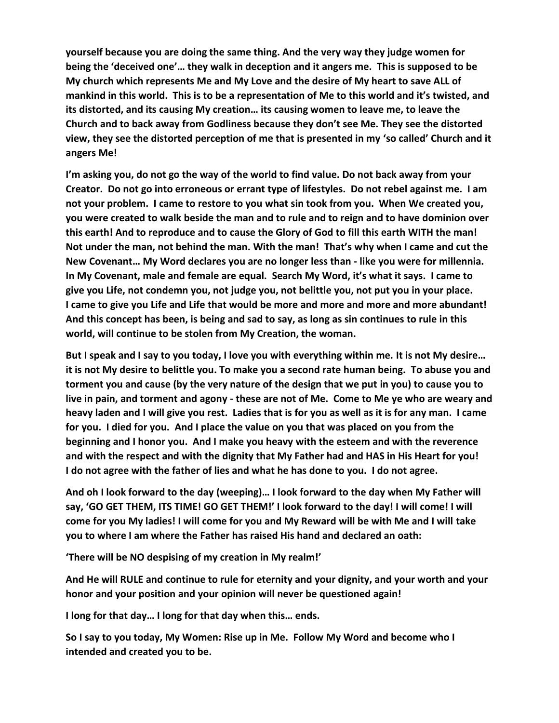**yourself because you are doing the same thing. And the very way they judge women for being the 'deceived one'… they walk in deception and it angers me. This is supposed to be My church which represents Me and My Love and the desire of My heart to save ALL of mankind in this world. This is to be a representation of Me to this world and it's twisted, and its distorted, and its causing My creation… its causing women to leave me, to leave the Church and to back away from Godliness because they don't see Me. They see the distorted view, they see the distorted perception of me that is presented in my 'so called' Church and it angers Me!** 

**I'm asking you, do not go the way of the world to find value. Do not back away from your Creator. Do not go into erroneous or errant type of lifestyles. Do not rebel against me. I am not your problem. I came to restore to you what sin took from you. When We created you, you were created to walk beside the man and to rule and to reign and to have dominion over this earth! And to reproduce and to cause the Glory of God to fill this earth WITH the man! Not under the man, not behind the man. With the man! That's why when I came and cut the New Covenant… My Word declares you are no longer less than - like you were for millennia. In My Covenant, male and female are equal. Search My Word, it's what it says. I came to give you Life, not condemn you, not judge you, not belittle you, not put you in your place. I came to give you Life and Life that would be more and more and more and more abundant! And this concept has been, is being and sad to say, as long as sin continues to rule in this world, will continue to be stolen from My Creation, the woman.** 

**But I speak and I say to you today, I love you with everything within me. It is not My desire… it is not My desire to belittle you. To make you a second rate human being. To abuse you and torment you and cause (by the very nature of the design that we put in you) to cause you to live in pain, and torment and agony - these are not of Me. Come to Me ye who are weary and heavy laden and I will give you rest. Ladies that is for you as well as it is for any man. I came for you. I died for you. And I place the value on you that was placed on you from the beginning and I honor you. And I make you heavy with the esteem and with the reverence and with the respect and with the dignity that My Father had and HAS in His Heart for you! I do not agree with the father of lies and what he has done to you. I do not agree.** 

**And oh I look forward to the day (weeping)… I look forward to the day when My Father will say, 'GO GET THEM, ITS TIME! GO GET THEM!' I look forward to the day! I will come! I will come for you My ladies! I will come for you and My Reward will be with Me and I will take you to where I am where the Father has raised His hand and declared an oath:**

**'There will be NO despising of my creation in My realm!'**

**And He will RULE and continue to rule for eternity and your dignity, and your worth and your honor and your position and your opinion will never be questioned again!** 

**I long for that day… I long for that day when this… ends.** 

**So I say to you today, My Women: Rise up in Me. Follow My Word and become who I intended and created you to be.**